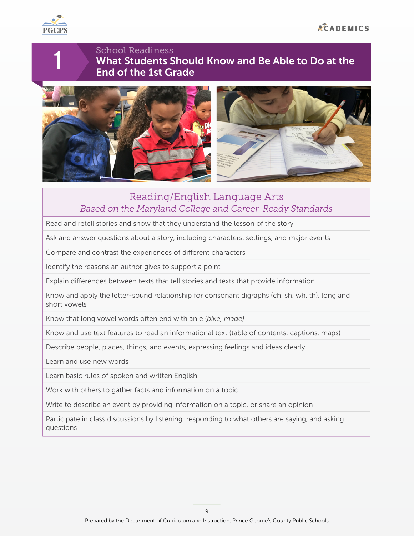

1

### School Readiness What Students Should Know and Be Able to Do at the End of the 1st Grade





## Reading/English Language Arts *Based on the Maryland College and Career-Ready Standards*

Read and retell stories and show that they understand the lesson of the story

Ask and answer questions about a story, including characters, settings, and major events

Compare and contrast the experiences of diferent characters

Identify the reasons an author gives to support a point

Explain diferences between texts that tell stories and texts that provide information

Know and apply the letter-sound relationship for consonant digraphs (ch, sh, wh, th), long and short vowels

Know that long vowel words often end with an e (*bike, made)*

Know and use text features to read an informational text (table of contents, captions, maps)

Describe people, places, things, and events, expressing feelings and ideas clearly

Learn and use new words

Learn basic rules of spoken and written English

Work with others to gather facts and information on a topic

Write to describe an event by providing information on a topic, or share an opinion

Participate in class discussions by listening, responding to what others are saying, and asking questions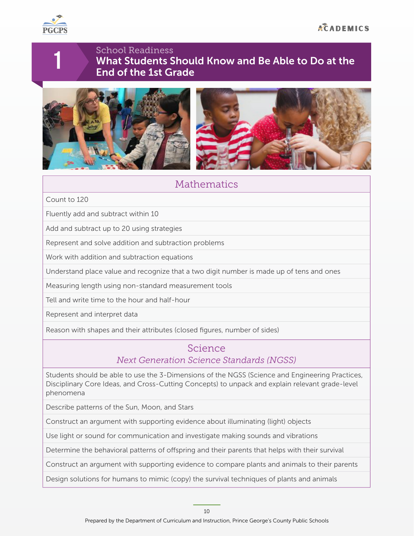

1

### School Readiness What Students Should Know and Be Able to Do at the End of the 1st Grade





# **Mathematics**

Count to 120

Fluently add and subtract within 10

Add and subtract up to 20 using strategies

Represent and solve addition and subtraction problems

Work with addition and subtraction equations

Understand place value and recognize that a two digit number is made up of tens and ones

Measuring length using non-standard measurement tools

Tell and write time to the hour and half-hour

Represent and interpret data

Reason with shapes and their attributes (closed figures, number of sides)

#### Science *Next Generation Science Standards (NGSS)*

Students should be able to use the 3-Dimensions of the NGSS (Science and Engineering Practices, Disciplinary Core Ideas, and Cross-Cutting Concepts) to unpack and explain relevant grade-level phenomena

Describe patterns of the Sun, Moon, and Stars

Construct an argument with supporting evidence about illuminating (light) objects

Use light or sound for communication and investigate making sounds and vibrations

Determine the behavioral patterns of ofspring and their parents that helps with their survival

Construct an argument with supporting evidence to compare plants and animals to their parents

Design solutions for humans to mimic (copy) the survival techniques of plants and animals